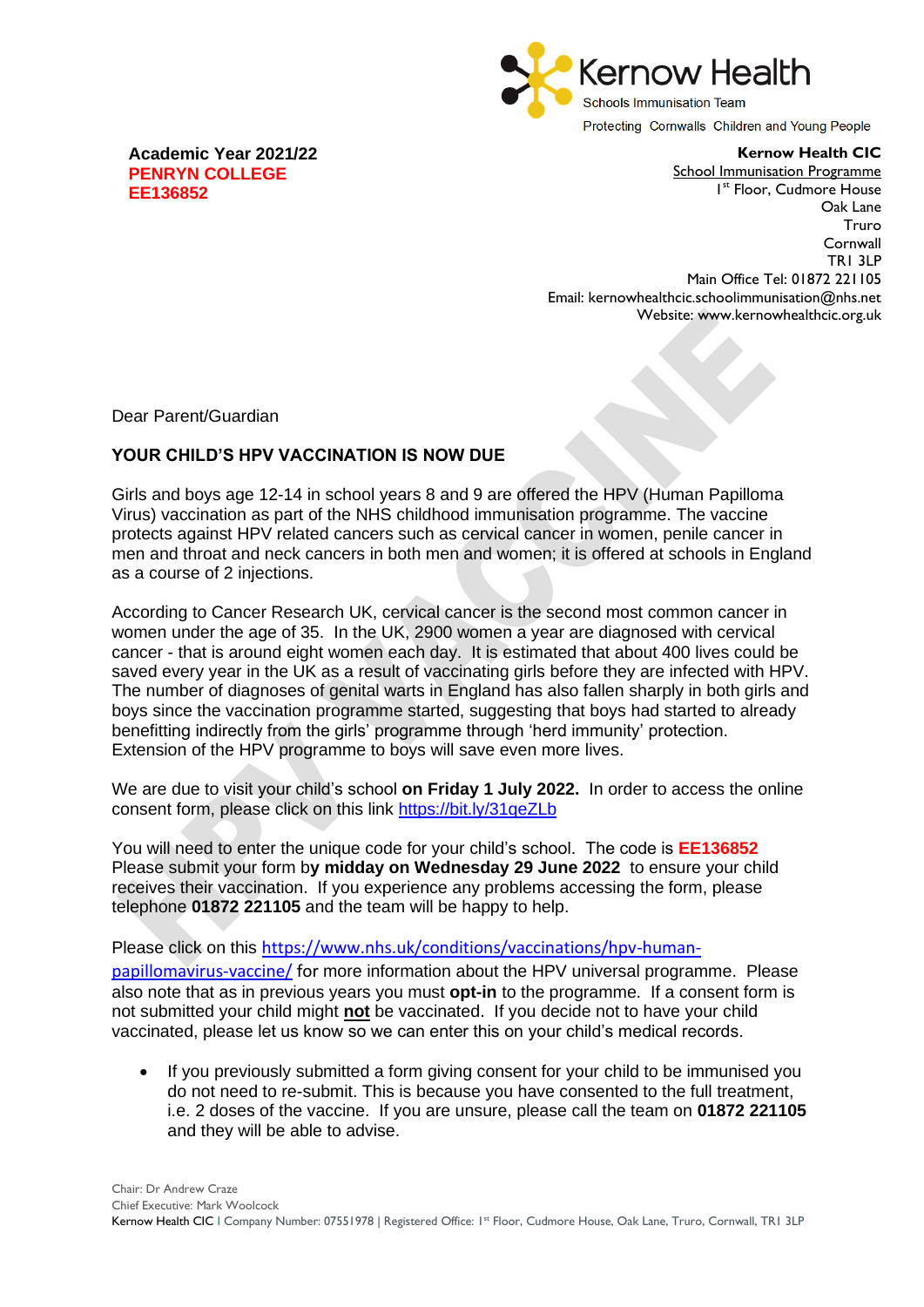

Protecting Cornwalls Children and Young People

**Kernow Health CIC**

**Academic Year 2021/22 PENRYN COLLEGE EE136852**

School Immunisation Programme 1 st Floor, Cudmore House Oak Lane Truro **Cornwall** TR1 3LP Main Office Tel: 01872 221105 Email: kernowhealthcic.schoolimmunisation@nhs.net Website: www.kernowhealthcic.org.uk

Dear Parent/Guardian

## **YOUR CHILD'S HPV VACCINATION IS NOW DUE**

Girls and boys age 12-14 in school years 8 and 9 are offered the HPV (Human Papilloma Virus) vaccination as part of the NHS childhood immunisation programme. The vaccine protects against HPV related cancers such as cervical cancer in women, penile cancer in men and throat and neck cancers in both men and women; it is offered at schools in England as a course of 2 injections.

According to Cancer Research UK, cervical cancer is the second most common cancer in women under the age of 35. In the UK, 2900 women a year are diagnosed with cervical cancer - that is around eight women each day. It is estimated that about 400 lives could be saved every year in the UK as a result of vaccinating girls before they are infected with HPV. The number of diagnoses of genital warts in England has also fallen sharply in both girls and boys since the vaccination programme started, suggesting that boys had started to already benefitting indirectly from the girls' programme through 'herd immunity' protection. Extension of the HPV programme to boys will save even more lives.

We are due to visit your child's school **on Friday 1 July 2022.** In order to access the online consent form, please click on this link<https://bit.ly/31qeZLb>

You will need to enter the unique code for your child's school. The code is **EE136852** Please submit your form b**y midday on Wednesday 29 June 2022** to ensure your child receives their vaccination. If you experience any problems accessing the form, please telephone **01872 221105** and the team will be happy to help.

Please click on this [https://www.nhs.uk/conditions/vaccinations/hpv-human](https://www.nhs.uk/conditions/vaccinations/hpv-human-papillomavirus-vaccine/)[papillomavirus-vaccine/](https://www.nhs.uk/conditions/vaccinations/hpv-human-papillomavirus-vaccine/) for more information about the HPV universal programme. Please also note that as in previous years you must **opt-in** to the programme. If a consent form is not submitted your child might **not** be vaccinated. If you decide not to have your child vaccinated, please let us know so we can enter this on your child's medical records.

• If you previously submitted a form giving consent for your child to be immunised you do not need to re-submit. This is because you have consented to the full treatment, i.e. 2 doses of the vaccine. If you are unsure, please call the team on **01872 221105**  and they will be able to advise.